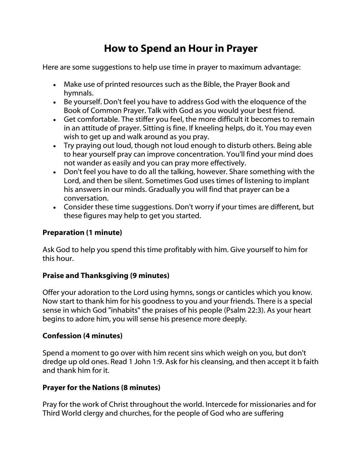# How to Spend an Hour in Prayer

Here are some suggestions to help use time in prayer to maximum advantage:

- Make use of printed resources such as the Bible, the Prayer Book and hymnals.
- Be yourself. Don't feel you have to address God with the eloquence of the Book of Common Prayer. Talk with God as you would your best friend.
- Get comfortable. The stiffer you feel, the more difficult it becomes to remain in an attitude of prayer. Sitting is fine. If kneeling helps, do it. You may even wish to get up and walk around as you pray.
- Try praying out loud, though not loud enough to disturb others. Being able to hear yourself pray can improve concentration. You'll find your mind does not wander as easily and you can pray more effectively.
- Don't feel you have to do all the talking, however. Share something with the Lord, and then be silent. Sometimes God uses times of listening to implant his answers in our minds. Gradually you will find that prayer can be a conversation.
- Consider these time suggestions. Don't worry if your times are different, but these figures may help to get you started.

## Preparation (1 minute)

Ask God to help you spend this time profitably with him. Give yourself to him for this hour.

### Praise and Thanksgiving (9 minutes)

Offer your adoration to the Lord using hymns, songs or canticles which you know. Now start to thank him for his goodness to you and your friends. There is a special sense in which God "inhabits" the praises of his people (Psalm 22:3). As your heart begins to adore him, you will sense his presence more deeply.

### Confession (4 minutes)

Spend a moment to go over with him recent sins which weigh on you, but don't dredge up old ones. Read 1 John 1:9. Ask for his cleansing, and then accept it b faith and thank him for it.

## Prayer for the Nations (8 minutes)

Pray for the work of Christ throughout the world. Intercede for missionaries and for Third World clergy and churches, for the people of God who are suffering